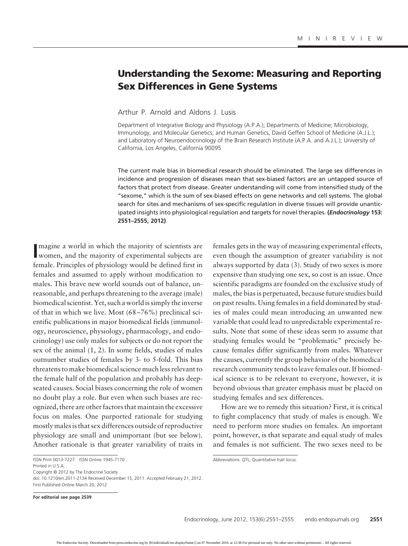# **Understanding the Sexome: Measuring and Reporting Sex Differences in Gene Systems**

Arthur P. Arnold and Aldons J. Lusis

Department of Integrative Biology and Physiology (A.P.A.); Departments of Medicine; Microbiology, Immunology, and Molecular Genetics; and Human Genetics, David Geffen School of Medicine (A.J.L.); and Laboratory of Neuroendocrinology of the Brain Research Institute (A.P.A. and A.J.L.); University of California, Los Angeles, California 90095

The current male bias in biomedical research should be eliminated. The large sex differences in incidence and progression of diseases mean that sex-biased factors are an untapped source of factors that protect from disease. Greater understanding will come from intensified study of the "sexome," which is the sum of sex-biased effects on gene networks and cell systems. The global search for sites and mechanisms of sex-specific regulation in diverse tissues will provide unanticipated insights into physiological regulation and targets for novel therapies. **(***Endocrinology* **153: 2551–2555, 2012)**

Imagine a world in which the majority of scientists are<br>
women, and the majority of experimental subjects are magine a world in which the majority of scientists are female. Principles of physiology would be defined first in females and assumed to apply without modification to males. This brave new world sounds out of balance, unreasonable, and perhaps threatening to the average (male) biomedical scientist. Yet, such a world is simply the inverse of that in which we live. Most (68 –76%) preclinical scientific publications in major biomedical fields (immunology, neuroscience, physiology, pharmacology, and endocrinology) use only males for subjects or do not report the sex of the animal (1, 2). In some fields, studies of males outnumber studies of females by 3- to 5-fold. This bias threatens to make biomedical science much less relevant to the female half of the population and probably has deepseated causes. Social biases concerning the role of women no doubt play a role. But even when such biases are recognized, there are other factors that maintain the excessive focus on males. One purported rationale for studying mostly males is that sex differences outside of reproductive physiology are small and unimportant (but see below). Another rationale is that greater variability of traits in

Printed in U.S.A.

Copyright © 2012 by The Endocrine Society

**For editorial see page 2539**

females gets in the way of measuring experimental effects, even though the assumption of greater variability is not always supported by data (3). Study of two sexes is more expensive than studying one sex, so cost is an issue. Once scientific paradigms are founded on the exclusive study of males, the bias is perpetuated, because future studies build on past results. Using females in a field dominated by studies of males could mean introducing an unwanted new variable that could lead to unpredictable experimental results. Note that some of these ideas seem to assume that studying females would be "problematic" precisely because females differ significantly from males. Whatever the causes, currently the group behavior of the biomedical research community tends to leave females out. If biomedical science is to be relevant to everyone, however, it is beyond obvious that greater emphasis must be placed on studying females and sex differences.

How are we to remedy this situation? First, it is critical to fight complacency that study of males is enough. We need to perform more studies on females. An important point, however, is that separate and equal study of males and females is not sufficient. The two sexes need to be

ISSN Print 0013-7227 ISSN Online 1945-7170

doi: 10.1210/en.2011-2134 Received December 15, 2011. Accepted February 21, 2012. First Published Online March 20, 2012

Abbreviations: QTL, Quantitative trait locus.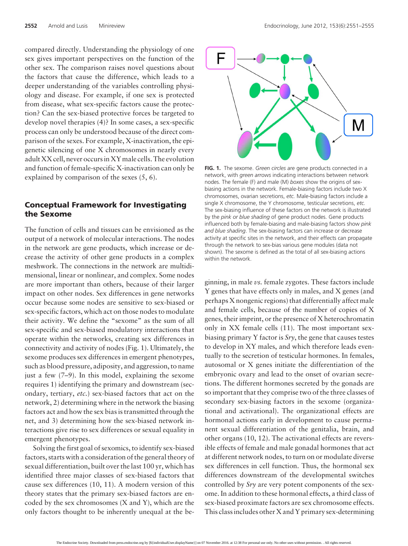compared directly. Understanding the physiology of one sex gives important perspectives on the function of the other sex. The comparison raises novel questions about the factors that cause the difference, which leads to a deeper understanding of the variables controlling physiology and disease. For example, if one sex is protected from disease, what sex-specific factors cause the protection? Can the sex-biased protective forces be targeted to develop novel therapies (4)? In some cases, a sex-specific process can only be understood because of the direct comparison of the sexes. For example, X-inactivation, the epigenetic silencing of one X chromosomes in nearly every adult XX cell, never occurs in XY male cells. The evolution and function of female-specific X-inactivation can only be explained by comparison of the sexes (5, 6).

## **Conceptual Framework for Investigating the Sexome**

The function of cells and tissues can be envisioned as the output of a network of molecular interactions. The nodes in the network are gene products, which increase or decrease the activity of other gene products in a complex meshwork. The connections in the network are multidimensional, linear or nonlinear, and complex. Some nodes are more important than others, because of their larger impact on other nodes. Sex differences in gene networks occur because some nodes are sensitive to sex-biased or sex-specific factors, which act on those nodes to modulate their activity. We define the "sexome" as the sum of all sex-specific and sex-biased modulatory interactions that operate within the networks, creating sex differences in connectivity and activity of nodes (Fig. 1). Ultimately, the sexome produces sex differences in emergent phenotypes, such as blood pressure, adiposity, and aggression, to name just a few (7–9). In this model, explaining the sexome requires 1) identifying the primary and downstream (secondary, tertiary, *etc.*) sex-biased factors that act on the network, 2) determining where in the network the biasing factors act and how the sex bias is transmitted through the net, and 3) determining how the sex-biased network interactions give rise to sex differences or sexual equality in emergent phenotypes.

Solving the first goal of sexomics, to identify sex-biased factors, starts with a consideration of the general theory of sexual differentiation, built over the last 100 yr, which has identified three major classes of sex-biased factors that cause sex differences (10, 11). A modern version of this theory states that the primary sex-biased factors are encoded by the sex chromosomes (X and Y), which are the only factors thought to be inherently unequal at the be-



**FIG. 1.** The sexome. *Green circles* are gene products connected in a network, with *green arrows* indicating interactions between network nodes. The female (F) and male (M) *boxes* show the origins of sexbiasing actions in the network. Female-biasing factors include two X chromosomes, ovarian secretions, *etc.* Male-biasing factors include a single X chromosome, the Y chromosome, testicular secretions, *etc.* The sex-biasing influence of these factors on the network is illustrated by the *pink or blue shading* of gene product nodes. Gene products influenced both by female-biasing and male-biasing factors show *pink and blue shading*. The sex-biasing factors can increase or decrease activity at specific sites in the network, and their effects can propagate through the network to sex-bias various gene modules (data not shown). The sexome is defined as the total of all sex-biasing actions within the network.

ginning, in male *vs.* female zygotes. These factors include Y genes that have effects only in males, and X genes (and perhaps X nongenic regions) that differentially affect male and female cells, because of the number of copies of X genes, their imprint, or the presence of X heterochromatin only in XX female cells (11). The most important sexbiasing primary Y factor is *Sry*, the gene that causes testes to develop in XY males, and which therefore leads eventually to the secretion of testicular hormones. In females, autosomal or X genes initiate the differentiation of the embryonic ovary and lead to the onset of ovarian secretions. The different hormones secreted by the gonads are so important that they comprise two of the three classes of secondary sex-biasing factors in the sexome (organizational and activational). The organizational effects are hormonal actions early in development to cause permanent sexual differentiation of the genitalia, brain, and other organs (10, 12). The activational effects are reversible effects of female and male gonadal hormones that act at different network nodes, to turn on or modulate diverse sex differences in cell function. Thus, the hormonal sex differences downstream of the developmental switches controlled by *Sry* are very potent components of the sexome. In addition to these hormonal effects, a third class of sex-biased proximate factors are sex chromosome effects. This class includes other X and Y primary sex-determining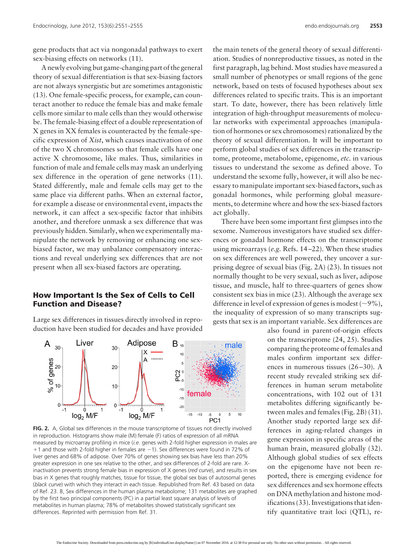gene products that act via nongonadal pathways to exert sex-biasing effects on networks (11).

A newly evolving but game-changing part of the general theory of sexual differentiation is that sex-biasing factors are not always synergistic but are sometimes antagonistic (13). One female-specific process, for example, can counteract another to reduce the female bias and make female cells more similar to male cells than they would otherwise be. The female-biasing effect of a double representation of X genes in XX females is counteracted by the female-specific expression of *Xist*, which causes inactivation of one of the two X chromosomes so that female cells have one active X chromosome, like males. Thus, similarities in function of male and female cells may mask an underlying sex difference in the operation of gene networks (11). Stated differently, male and female cells may get to the same place via different paths. When an external factor, for example a disease or environmental event, impacts the network, it can affect a sex-specific factor that inhibits another, and therefore unmask a sex difference that was previously hidden. Similarly, when we experimentally manipulate the network by removing or enhancing one sexbiased factor, we may unbalance compensatory interactions and reveal underlying sex differences that are not present when all sex-biased factors are operating.

### **How Important Is the Sex of Cells to Cell Function and Disease?**

Large sex differences in tissues directly involved in reproduction have been studied for decades and have provided



FIG. 2. A, Global sex differences in the mouse transcriptome of tissues not directly involved in reproduction. Histograms show male (M):female (F) ratios of expression of all mRNA measured by microarray profiling in mice (*i.e*. genes with 2-fold higher expression in males are  $+1$  and those with 2-fold higher in females are  $-1$ ). Sex differences were found in 72% of liver genes and 68% of adipose. Over 70% of genes showing sex bias have less than 20% greater expression in one sex relative to the other, and sex differences of 2-fold are rare. Xinactivation prevents strong female bias in expression of X genes (*red curve*), and results in sex bias in X genes that roughly matches, tissue for tissue, the global sex bias of autosomal genes (*black curve*) with which they interact in each tissue. Republished from Ref. 43 based on data of Ref. 23. B, Sex differences in the human plasma metabolome; 131 metabolites are graphed by the first two principal components (PC) in a partial least square analysis of levels of metabolites in human plasma; 78% of metabolites showed statistically significant sex differences. Reprinted with permission from Ref. 31.

the main tenets of the general theory of sexual differentiation. Studies of nonreproductive tissues, as noted in the first paragraph, lag behind. Most studies have measured a small number of phenotypes or small regions of the gene network, based on tests of focused hypotheses about sex differences related to specific traits. This is an important start. To date, however, there has been relatively little integration of high-throughput measurements of molecular networks with experimental approaches (manipulation of hormones or sex chromosomes) rationalized by the theory of sexual differentiation. It will be important to perform global studies of sex differences in the transcriptome, proteome, metabolome, epigenome, *etc.* in various tissues to understand the sexome as defined above. To understand the sexome fully, however, it will also be necessary to manipulate important sex-biased factors, such as gonadal hormones, while performing global measurements, to determine where and how the sex-biased factors act globally.

There have been some important first glimpses into the sexome. Numerous investigators have studied sex differences or gonadal hormone effects on the transcriptome using microarrays (*e.g.* Refs. 14 –22). When these studies on sex differences are well powered, they uncover a surprising degree of sexual bias (Fig. 2A) (23). In tissues not normally thought to be very sexual, such as liver, adipose tissue, and muscle, half to three-quarters of genes show consistent sex bias in mice (23). Although the average sex difference in level of expression of genes is modest ( $\sim$ 9%), the inequality of expression of so many transcripts suggests that sex is an important variable. Sex differences are

> also found in parent-of-origin effects on the transcriptome (24, 25). Studies comparing the proteome of females and males confirm important sex differences in numerous tissues  $(26-30)$ . A recent study revealed striking sex differences in human serum metabolite concentrations, with 102 out of 131 metabolites differing significantly between males and females (Fig. 2B) (31). Another study reported large sex differences in aging-related changes in gene expression in specific areas of the human brain, measured globally (32). Although global studies of sex effects on the epigenome have not been reported, there is emerging evidence for sex differences and sex hormone effects on DNA methylation and histone modifications (33). Investigations that identify quantitative trait loci (QTL), re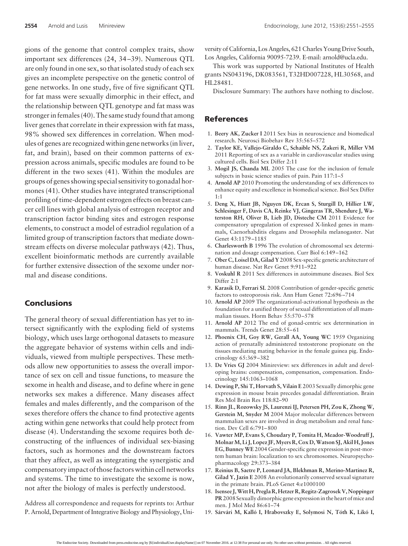gions of the genome that control complex traits, show important sex differences (24, 34 –39). Numerous QTL are only found in one sex, so that isolated study of each sex gives an incomplete perspective on the genetic control of gene networks. In one study, five of five significant QTL for fat mass were sexually dimorphic in their effect, and the relationship between QTL genotype and fat mass was stronger in females (40). The same study found that among liver genes that correlate in their expression with fat mass, 98% showed sex differences in correlation. When modules of genes are recognized within gene networks (in liver, fat, and brain), based on their common patterns of expression across animals, specific modules are found to be different in the two sexes (41). Within the modules are groups of genes showing special sensitivity to gonadal hormones (41). Other studies have integrated transcriptional profiling of time-dependent estrogen effects on breast cancer cell lines with global analysis of estrogen receptor and transcription factor binding sites and estrogen response elements, to construct a model of estradiol regulation of a limited group of transcription factors that mediate downstream effects on diverse molecular pathways (42). Thus, excellent bioinformatic methods are currently available for further extensive dissection of the sexome under normal and disease conditions.

#### **Conclusions**

The general theory of sexual differentiation has yet to intersect significantly with the exploding field of systems biology, which uses large orthogonal datasets to measure the aggregate behavior of systems within cells and individuals, viewed from multiple perspectives. These methods allow new opportunities to assess the overall importance of sex on cell and tissue functions, to measure the sexome in health and disease, and to define where in gene networks sex makes a difference. Many diseases affect females and males differently, and the comparison of the sexes therefore offers the chance to find protective agents acting within gene networks that could help protect from disease (4). Understanding the sexome requires both deconstructing of the influences of individual sex-biasing factors, such as hormones and the downstream factors that they affect, as well as integrating the synergistic and compensatory impact of those factors within cell networks and systems. The time to investigate the sexome is now, not after the biology of males is perfectly understood.

Address all correspondence and requests for reprints to: Arthur P. Arnold, Department of Integrative Biology and Physiology, University of California, Los Angeles, 621 Charles Young Drive South, Los Angeles, California 90095-7239. E-mail: arnold@ucla.edu.

This work was supported by National Institutes of Health grants NS043196, DK083561, T32HD007228, HL30568, and HL28481.

Disclosure Summary: The authors have nothing to disclose.

#### **References**

- 1. **Beery AK, Zucker I** 2011 Sex bias in neuroscience and biomedical research. Neurosci Biobehav Rev 35:565–572
- 2. **Taylor KE, Vallejo-Giraldo C, Schaible NS, Zakeri R, Miller VM** 2011 Reporting of sex as a variable in cardiovascular studies using cultured cells. Biol Sex Differ 2:11
- 3. **Mogil JS, Chanda ML** 2005 The case for the inclusion of female subjects in basic science studies of pain. Pain 117:1–5
- 4. **Arnold AP** 2010 Promoting the understanding of sex differences to enhance equity and excellence in biomedical science. Biol Sex Differ 1:1
- 5. **Deng X, Hiatt JB, Nguyen DK, Ercan S, Sturgill D, Hillier LW, Schlesinger F, Davis CA, Reinke VJ, Gingeras TR, Shendure J, Waterston RH, Oliver B, Lieb JD, Disteche CM** 2011 Evidence for compensatory upregulation of expressed X-linked genes in mammals, Caenorhabditis elegans and Drosophila melanogaster. Nat Genet 43:1179 –1185
- 6. **Charlesworth B** 1996 The evolution of chromosomal sex determination and dosage compensation. Curr Biol 6:149 –162
- 7. **Ober C, Loisel DA, Gilad Y** 2008 Sex-specific genetic architecture of human disease. Nat Rev Genet 9:911–922
- 8. **Voskuhl R** 2011 Sex differences in autoimmune diseases. Biol Sex Differ 2:1
- 9. **Karasik D, Ferrari SL** 2008 Contribution of gender-specific genetic factors to osteoporosis risk. Ann Hum Genet 72:696 –714
- 10. **Arnold AP** 2009 The organizational-activational hypothesis as the foundation for a unified theory of sexual differentiation of all mammalian tissues. Horm Behav 55:570 –578
- 11. **Arnold AP** 2012 The end of gonad-centric sex determination in mammals. Trends Genet 28:55-61
- 12. **Phoenix CH, Goy RW, Gerall AA, Young WC** 1959 Organizing action of prenatally administered testosterone propionate on the tissues mediating mating behavior in the female guinea pig. Endocrinology 65:369 –382
- 13. **De Vries GJ** 2004 Minireview: sex differences in adult and developing brains: compensation, compensation, compensation. Endocrinology 145:1063–1068
- 14. **Dewing P, Shi T, Horvath S, Vilain E** 2003 Sexually dimorphic gene expression in mouse brain precedes gonadal differentiation. Brain Res Mol Brain Res 118:82–90
- 15. **Rinn JL, Rozowsky JS, Laurenzi IJ, Petersen PH, Zou K, Zhong W, Gerstein M, Snyder M** 2004 Major molecular differences between mammalian sexes are involved in drug metabolism and renal function. Dev Cell 6:791– 800
- 16. **Vawter MP, Evans S, Choudary P, Tomita H, Meador-Woodruff J, MolnarM, Li J, Lopez JF,Myers R, Cox D,Watson SJ, Akil H, Jones EG, Bunney WE** 2004 Gender-specific gene expression in post-mortem human brain: localization to sex chromosomes. Neuropsychopharmacology 29:373–384
- 17. **Reinius B, Saetre P, Leonard JA, Blekhman R, Merino-Martinez R, Gilad Y, Jazin E** 2008 An evolutionarily conserved sexual signature in the primate brain. PLoS Genet 4:e1000100
- 18. **Isensee J,Witt H, Pregla R, Hetzer R, Regitz-Zagrosek V, Noppinger PR**2008 Sexually dimorphic gene expression in the heart of mice and men. J Mol Med 86:61–74
- 19. **Sárvári M, Kalló I, Hrabovszky E, Solymosi N, Tóth K, Likó I,**